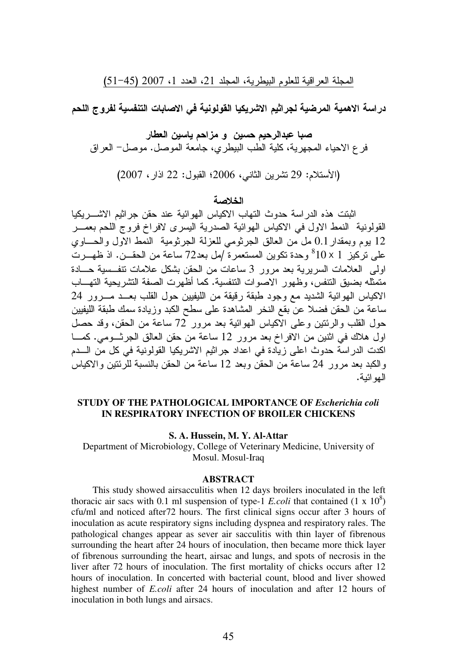المجلة العراقية للعلوم البيطرية، المجلد 21، العدد 1، 2007 (51-45)

در اسة الاهمية المرضية لجر اثيم الاشريكيا القولونية في الاصابات التنفسية لفروج اللحم

صبا عبدالرحيم حسين و مزاحم ياسين العطار فر ع الاحياء المجهرية، كلية الطب البيطري، جامعة الموصل. موصل– العراق

(الأستلام: 29 نشرين الثاني، 2006؛ القبول: 22 اذار، 2007)

## الخلاصة

اثبتت هذه الدراسة حدوث النهاب الاكياس الهوائية عند حقن جراثيم الاشـــريكيا القولونية النمط الاول في الاكياس الـهوائية الصدرية اليسرى لافراخ فروج اللحم بعمـــر 12 يوم وبمقدار 0.1 مل من العالق الجرثومي للعزلة الجرثومية النمط الاول والحــــاوي على تركيز 10 × 10° وحدة تكوين المستعمرة ُ مل بعد72 ساعة من الحقـــن. اذ ظهـــرت اولى العلامات السريرية بعد مرور 3 ساعات من الحقن بشكل علامات نتفــسية حـــادة متمثَّله بضيق التنفس، وظهور الاصوات التنفسية. كما أظهرت الصفة التشريحية التهـــاب الاكياس الـهوائية الشديد مـع وجود طبقة رقيقة من الليفيين حول القلب بعـــد مــــرور 24 ساعة من الحقن فضلا عن بقع النخر المشاهدة على سطح الكبد وزيادة سمك طبقة الليفيين حول القلب والرئنين وعلى الاكياس المهوائية بعد مرور 72 ساعة من الحقن، وقد حصل اول هلاك في اثنين من الافراخ بعد مرور 12 ساعة من حقن العالق الجرثـــومي. كمــــا اكدت الدراسة حدوث اعلى زيادة في اعداد جراثيم الاشريكيا القولونية في كل من الــــدم والكبد بعد مرور 24 ساعة من الحقن وبعد 12 ساعة من الحقن بالنسبة للرئنتين والاكياس الهو ائية.

## **STUDY OF THE PATHOLOGICAL IMPORTANCE OF** *Escherichia coli* **IN RESPIRATORY INFECTION OF BROILER CHICKENS**

#### **S. A. Hussein, M. Y. Al-Attar**

Department of Microbiology, College of Veterinary Medicine, University of Mosul. Mosul-Iraq

#### **ABSTRACT**

This study showed airsacculitis when 12 days broilers inoculated in the left thoracic air sacs with 0.1 ml suspension of type-1 *E.coli* that contained  $(1 \times 10^8)$ cfu/ml and noticed after72 hours. The first clinical signs occur after 3 hours of inoculation as acute respiratory signs including dyspnea and respiratory rales. The pathological changes appear as sever air sacculitis with thin layer of fibrenous surrounding the heart after 24 hours of inoculation, then became more thick layer of fibrenous surrounding the heart, airsac and lungs, and spots of necrosis in the liver after 72 hours of inoculation. The first mortality of chicks occurs after 12 hours of inoculation. In concerted with bacterial count, blood and liver showed highest number of *E.coli* after 24 hours of inoculation and after 12 hours of inoculation in both lungs and airsacs.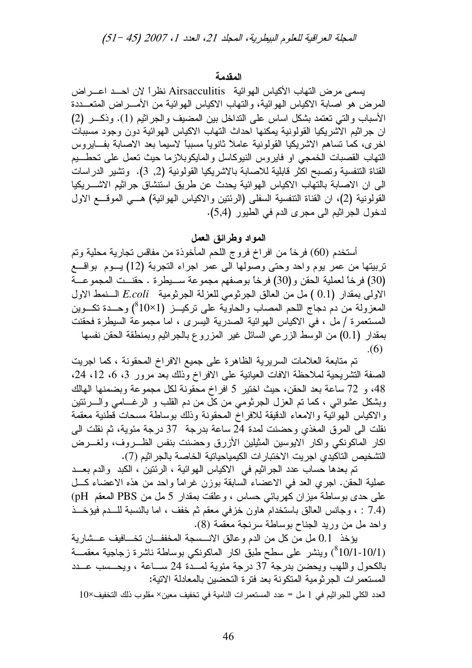### المقدمة

بِسمي مر ض النَّهاب الأكياس الهو ائية Airsacculitis نظر أ لان احــد اعــر اض المرض هو اصابة الاكياس الهوائية، والنهاب الاكياس الهوائية من الأمــــراض المنعــــددة الأسباب والتي تعتمد بشكل اساس على النداخل بين المضيف والجراثيم (1). وذكــر (2) ان جراثيم الاشريكيا القولونية يمكنها احداث النهاب الاكياس الهوائية دون وجود مسببات اخرى، كما تساهم الاشريكيا القولونية عاملاً ثانوياً مسبباً لاسيما بعد الاصابة بفـــايروس النهاب القصبات الخمجي او فايروس النيوكاسل والمايكوبلازما حيث نعمل على تحطـــيم القناة التنفسية وتصبح اكثر قابلية للاصابة بالاشريكيا القولونية (2, 3). وتشير الدراسات الى ان الاصابة بالتهاب الاكياس الهوائية يحدث عن طريق استتشاق جراثيم الاشـــريكيا القولونية (2)، ان القناة التنفسية السفلي (الرئتين والاكياس الهوائية) هــي الموقـــع الاول لدخول الجراثيم الى مجرى الدم في الطيور (5,4).

# المواد وطرائق العمل

أستخدم (60) فرخاً من افراخ فروج اللحم المأخوذة من مفاقس تجارية محلية وتم تربيتها من عمر يوم واحد وحتى وصولها الى عمر اجراء التجربة (12) يـــوم بواقــــع (30) فرخاً لعملية الحقن و(30) فرخاً بوصفهم مجموعة سـبطرة . حقنــت المجموعــة الاولى بمقدار (0.1 ) مل من العالق الجر ثومي للعزلة الجر ثومية E.coli السنمط الاول المعزولة من دم دجاج اللحم المصاب والحاوية على نركيـــز (1×10°) وحـــدة نكـــوين المستعمرة / ملَّ ، في الاكياس الهوائية الصدرية اليسرى ، اما مجموعة السيطرة فحقنت بمقدار (0.1) من الوسط الزرعي السائل غير المزروع بالجراثيم وبمنطقة الحقن نفسها  $(6)$ 

تم متابعة العلامات السريرية الظاهرة على جميع الافراخ المحقونة ، كما اجريت الصفة التشريحية لملاحظة الافات العيانية على الافراخ وذلك بعد مرور 3، 6، 12، 24، 48، و 72 ساعة بعد الحقن، حيث اختير 5 افراخ محقونة لكل مجموعة وبضمنها الهالك وبشكل عشوائي ، كما نم العزل الجرثومي من كل من دم القلب و الرغـــامي والــــرئتين والاكياس الهوائية والامعاء الدقيقة للافراخ المحقونة وذلك بوساطة مسحات قطنية معقمة نقلت الى المرق المغذى وحضنت لمدة 24 ساعة بدرجة 37 درجة مئوية، ثم نقلت الى اكار الماكونكي واكار الايوسين المثيلين الأزرق وحضنت بنفس الظـــروف، ولغـــرض التشخيص التاكيدي اجر بت الاختبار ات الكيمياحياتية الخاصة بالجر اثيم (7).

تم بعدها حساب عدد الجراثيم في الاكياس الهوائية ، الرئتين ، الكبد والدم بعــد عملية الحقن. اجري العد في الاعضاء السابقة بوزن غرامًا واحد من هذه الاعضاء كلَّ على حدى بوساطة ميزان كهربائي حساس ، وعلقت بمقدار 5 مل من PBS المعقم pH) (7.4 : ، وجانس العالق باستخدام هاون خزفي معقم ثم خفف ، اما بالنسبة للــدم فيؤخــذ واحد مل من وريد الجناح بوساطة سرنجة معقمة (8).

يؤخذ 0.1 مل من كل من الدم و عالق الانـــسجة المخففـــان تخـــافيف عــشارية (10/1-10/1) وينشر على سطح طبق اكار الماكونكي بوساطة ناشرة زجاجية معقمـــة بالكحول واللهب ويحضن بدرجة 37 درجة مئوية لمسدة 24 ســاعة ، ويحــسب عــدد المستعمر ات الجر ثو مية المتكونة بعد فتر ة التحضين بالمعادلة الاتية:

العدد الكلي للجراثيم في 1 مل = عدد المستعمرات النامية في تخفيف معين× مقلوب ذلك التخفيف×10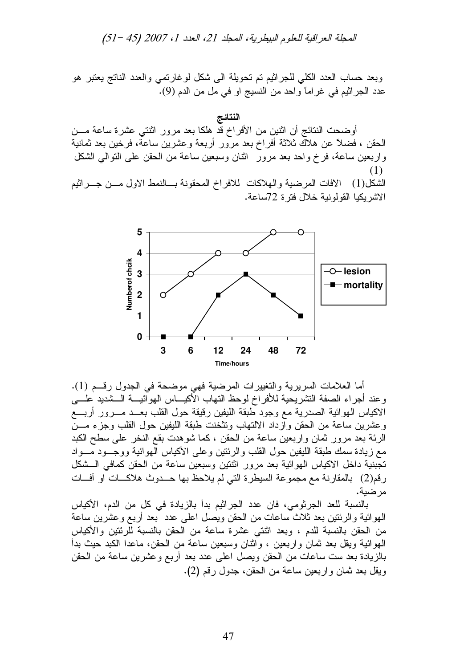المجلة العراقية للعلوم البيطرية، المجلد 21، العدد 1، 2007 (51 –51)

وبعد حساب العدد الكلي للجراثيم تم تحويلة الى شكل لوغارتمي والعدد الناتج يعتبر هو عدد الجراثيم في غراماً واحد من النسيج او في مل من الدم (9).

النتائج أوضحت النتائج أن اثنين من الأفراخ قد هلكا بعد مرور اثنتي عشرة ساعة مـــن الْحَقْنِ ، فَضَلاً عَنْ هَلاَكَ ثَلاثَةُ أَفْرَاخٌ بعد مرورٍ أربعةٌ وعشرين ساعةً، فرخين بعد ثمانيةً واربعين ساعة، فرخ واحد بعد مرور انثـان وسبعين ساعة من الحقن علـي التوالـي الشكل (1)

الشكل(1) الافات المرضية والـهلاكات للافراخ المحقونة بـــالنمط الاول مـــن جـــراثيم الاشريكيا القولونية خلال فترة 72ساعة.



أما العلامات السريرية والتغييرات المرضية فهي موضحة في الجدول رقـــم (1). وعند أجراء الصفة التشريحية للأفراخ لوحظ التهاب الأكيـــاس المهوائيـــة الـــشديد علــــي الاكياس المهوائية الصدرية مع وجود طبقة الليفين رقيقة حول القلب بعـــد مــــرور أربــــع وعشرين ساعة من الحقن وازداد الالتهاب وتثخنت طبقة الليفين حول القلب وجزء مـــن الرئة بعد مرور ثمان واربعين ساعة من الحقن ، كما شوهدت بقع النخر على سطح الكبد مع زيادة سمك طبقة الليفين حول القلب والرئنين وعلى الأكياس الـهوائية ووجـــود مــــواد تجبنية داخل الاكياس الـهوائية بعد مرور اثنتين وسبعين ساعة من الحقن كمافـي الـــشكل رقم(2) بالمقارنة مع مجموعة السيطرة التي لم يلاحظ بها حـــدوث هلاكــــات او أفــــات مرضية.

بالنسبة للعد الجرثومي، فان عدد الجراثيم بدأ بالزيادة في كل من الدم، الأكياس الـهوائية والرئنين بـعد ثلاث ساعات من الـحقن ويصل اعلـي عدد بـعد أربـع وعشرين ساعة من الحقن بالنسبة للدم ، وبعد اثنتي عشرة ساعة من الحقن بالنسبة للرئتين والأكياس الـهوائية ويقل بـعد ثمـان واربـعين ، واثنـان وسبعين ساعة من الـحقن، مـاعدا الكبد حيث بدأ بالزيادة بعد ست ساعات من الحقن ويصل اعلى عدد بعد أربع وعشرين ساعة من الحقن ويقل بعد ثمان واربعين ساعة من الحقن، جدول رقم (2).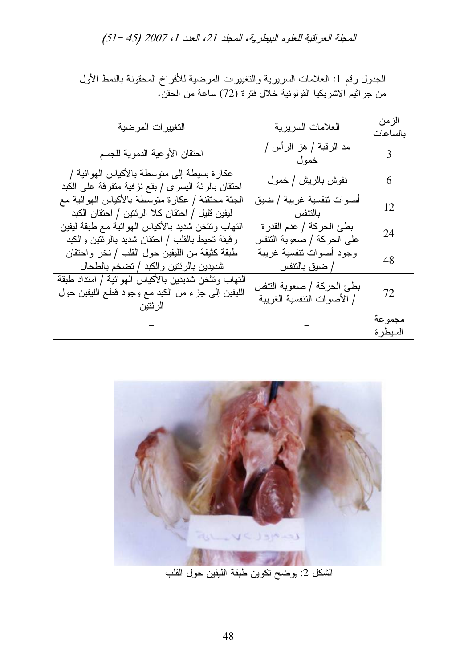# المجلة العراقية للعلوم البيطرية، المجلد 21، العدد 1، 2007 (51- 51)

| التغييرات المرضية                                                                                                  | العلامات السريرية                                       | الزمن<br>بالساعات  |
|--------------------------------------------------------------------------------------------------------------------|---------------------------------------------------------|--------------------|
| احتقان الأوعية الدموية للجسم                                                                                       | مد الرقبة / هز الرأس /<br>خمول                          | 3                  |
| عكارة بسيطة إلى متوسطة بالأكياس الهوائية /<br>احتقان بالرئة اليسر ي / بقع نزفية متفرقة على الكبد                   | نفوش بالريش / خمول                                      | 6                  |
| الجثة محنقنة / عكار ة متوسطة بالأكياس الهوائية مع<br>ليفين قليل / احتقان كلا الرئتين / احتقان الكبد                | أصوات تنفسية غريبة / ضيق<br>بالتنفس                     | 12                 |
| النهاب ونتخن شديد بالأكياس الهوائية مع طبقة ليفين<br>رقيقة تحيط بالقلب / احتقان شديد بالرئتين والكبد               | بطئ الحركة / عدم القدر ة<br>على الحركة / صعوبة النتفس   | 24                 |
| طبقة كثيفة من الليفين حول القلب / نخر واحتقان<br>شديدين بالرئتين والكبد / تضخم بالطحال                             | وجود أصوات نتفسية غريبة<br>/ ضبق بالنتفس                | 48                 |
| النهاب ونتخن شديدين بالأكياس الهوائية / امنداد طبقة<br>الليفين إلى جزء من الكبد مع وجود قطع الليفين حول<br>الرئتين | بطئ الحركة / صعوبة النتفس<br>/ الأصوات التنفسية الغريبة | 72                 |
|                                                                                                                    |                                                         | مجموعة<br>السيطر ة |

الجدول رقم 1: العلامات السريرية والتغييرات المرضية للأفراخ المحقونة بالنمط الأول من جراثيم الاشريكيا القولونية خلال فترة (72) ساعة من الحقنّ.



الشكل 2: يوضح نكوين طبقة الليفين حول القلب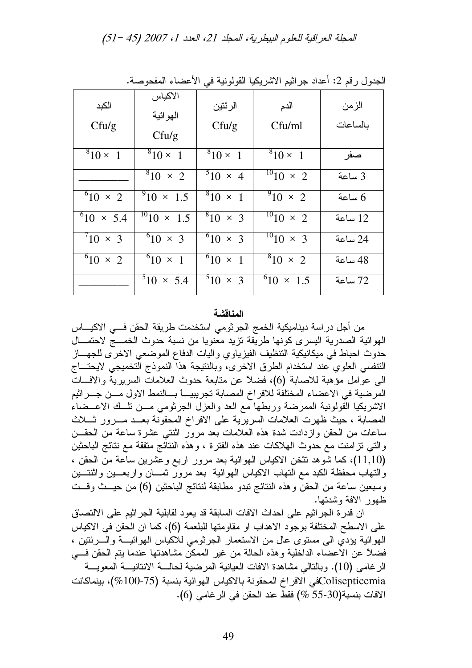المجلة العراقية للعلوم البيطرية، المجلد 21، العدد 1، 2007 (45 –51)

| الكبد<br>Cful/g     | الاكياس<br>الهوائية<br>Cful/g | الرئتين<br>Cful/g | الدم<br>Cfu/ml          | الزمن<br>بالساعات |
|---------------------|-------------------------------|-------------------|-------------------------|-------------------|
| $810 \times 1$      | $^{8}10 \times 1$             | $810 \times 1$    | $810 \times 1$          | صفر               |
|                     | $810 \times 2$                | $510 \times 4$    | $10^{10}10 \times 2$    | 3 ساعة            |
| $^{6}10 \times 2$   | $^{9}10 \times 1.5$           | $8_{10} \times 1$ | $\sqrt[9]{10} \times 2$ | ساعة $6$          |
| $^{6}10 \times 5.4$ | $^{10}10 \times 1.5$          | $810 \times 3$    | $^{10}10 \times 2$      | 12 ساعة           |
| $10 \times 3$       | $^{6}10 \times 3$             | $^{6}10 \times 3$ | $\frac{10}{10}$ x 3     | 24 ساعة           |
| $^{6}10 \times 2$   | $^{6}10 \times 1$             | $^{6}10 \times 1$ | $810 \times 2$          | 48 ساعة           |
|                     | $510 \times 5.4$              | $5^{10} \times 3$ | $^{6}10 \times 1.5$     | 72 ساعة           |

الجدول ر قم 2: أعداد جر اثيم الاشريكيا القولونية في الأعضاء المفحوصة.

#### المناقشة

من أجل در اسة ديناميكية الخمج الجرثومي استخدمت طريقة الحقن فـــي الاكيــــاس الهوائية الصدرية اليسرى كونها طريقة نزيد معنويا من نسبة حدوث الخمـــج لاحتمـــال حدوث احباط في ميكانيكية التنظيف الفيزياوي واليات الدفاع الموضعي الاخرى للجهـــاز التنفسي العلوي عند استخدام الطرق الاخرى، وبالنتيجة هذا النموذج التخميجي لايحتـــاج البي عوامل مؤهبة للاصابة (6)، فضلاً عن متابعة حدوث العلامات السريرية والافسات المرضية في الاعضاء المختلفة للافراخ المصابة تجريبيــــــــا بــــالنمط الاول مــــن جــــراثيم الاشريكيا القولونية الممرضة وربطها مع العد والعزل الجرثومي مــن نلــك الاعــضاء المصابة ، حيث ظهرت العلامات السريرية على الافراخ المحقونة بعــد مـــرور شــلاث ساعات من الحقن وازدادت شدة هذه العلامات بعد مرور اثنتي عشرة ساعة من الحقــن و التي نز امنت مع حدوث الـهلاكات عند هذه الفترة ، و هذه النتائج متفقة مع نتائج الباحثين (11,10)، كما شوهد تثخن الاكياس الهوائية بعد مرور اربع وعشرين ساعة من الحقن ، والنهاب محفظة الكبد مع النهاب الاكياس الهوائية بعد مرور نمسان واربعـــين واثنتـــين وسبعين ساعة من الحقن وهذه النتائج نبدو مطابقة لنتائج الباحثين (6) من حيـــث وقـــت ظهور الافة وشدتها.

ان قدرة الجراثيم على احداث الافات السابقة قد يعود لقابلية الجراثيم على الالتصاق على الاسطح المختلفة بوجود الاهداب او مقاومتها للبلعمة (6)، كما ان الحقن في الاكياس المهوائية بؤدي الى مستوى عال من الاستعمار الجرثومي للاكياس الهوائيــة والـــــرئتين ، فضلاً عن الاعضاء الداخلية وهذه الحالة من غير الممكن مشاهدتها عندما يتم الحقن في الرغامي (10). وبالنالي مشاهدة الافات العيانية المرضية لحالسة الانتانيسة المعويسة Colisepticemiaكفي الافراخ المحقونة بالاكياس الهوائية بنسبة (75-700%)، بينماكانت الأفات بنسبة(30-55 %) فقط عند الحقن في الرغامي (6).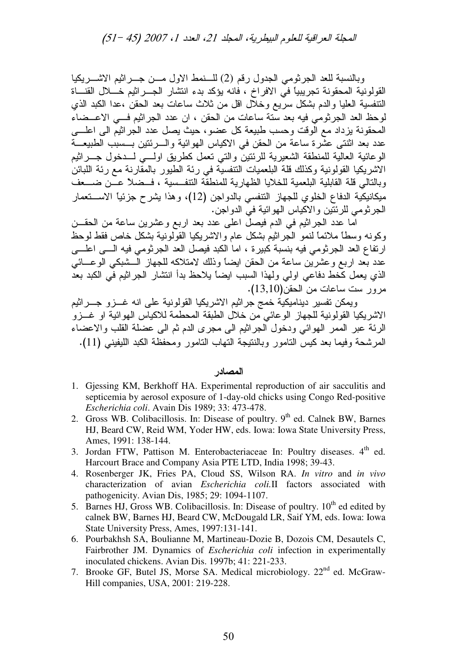المجلة العراقية للعلوم البيطرية، المجلد 21، العدد 1، 2007 (51 –51)

وبالنسبة للعد الجرثومي الجدول رقم (2) للسنمط الاول مسن جسرائيم الاشسريكيا القولونية المحقونة تجريبياً في الافراخ ، فانه يؤكد بدء انتشار الجــــراثيم خـــــلال القنــــاة التنفسية العليا والدم بشكل سريع وخلال اقل من ثلاث ساعات بعد الحقن ،عدا الكبد الذي لوحظ العد الجرثومي فيه بعد سنة ساعات من الحقن ، ان عدد الجراثيم فـــي الاعـــضـاء المحقونة بزداد مع الوقت وحسب طبيعة كل عضو، حيث بصل عدد الجراثيم الى اعلــــى عدد بعد اثنتـي عشرة ساعة من الحقن في الاكياس الـهوائية والــــرئنين بــــسبب الطبيعـــة الوعائية العالية للمنطقة الشعيرية للرئنين والني نعمل كطريق اولـــي لـــدخول جـــرانيم الاشريكيا القولونية وكذلك قلة البلعميات التنفسية في رئة الطيور بالمقارنة مع رئة اللبائن وبالنالي قلة القابلية البلعمية للخلايا الظهارية للمنطقة التنفــسية ، فــضلا عـــن ضـــعف ميكانيكّية الدفاع الخلوي للجهاز النتفسي بالدواجن (12)، وهذا يشرح جزئيا الاســــتعمار الجرثومي للرئتين والاكياس الهوائية في الدواجن.

اما عدد الجراثيم في الدم فيصل اعلى عدد بعد اربع وعشرين ساعة من الحقـــن وكونه وسطًا ملائمًا لنمو الجراثيم بشكل عام والاشريكيا القولونية بشكل خاص فقط لوحظ ارتفاع العد الجرثومي فيه بنسبة كبيرة ، اما الكبد فيصل العد الجرثومي فيه الــــى اعلــــى عدد بعد اربع وعشرين ساعة من الحقن ايضاً وذلك لامتلاكه للجهاز الـــشبكي الوعــــائـي الذي يعمل كخط دفاعي اولي ولهذا السبب ايضاً يلاحظ بدأ انتشار الجراثيم في الكبد بعد مرور ست ساعات من الحقن(13,10).

ويمكن تفسير ديناميكية خمج جراثيم الاشريكيا القولونية على انه غـــزو جــــراثيم الاشريكيا القولونية للجهاز الوعائي من خلال الطبقة المحطمة للاكياس الهوائية او غـــزو الرئة عبر الممر الهوائي ودخول الجراثيم الى مجرى الدم ثم الى عضلة القلب والاعضاء المرشحة وفيما بعد كيس النامور وبالنتيجة النهاب النامور ومحفظة الكبد الليفيني (11).

# المصادر

- 1. Gjessing KM, Berkhoff HA. Experimental reproduction of air sacculitis and septicemia by aerosol exposure of 1-day-old chicks using Congo Red-positive *Escherichia coli*. Avain Dis 1989; 33: 473-478.
- 2. Gross WB. Colibacillosis. In: Disease of poultry.  $9<sup>th</sup>$  ed. Calnek BW, Barnes HJ, Beard CW, Reid WM, Yoder HW, eds. Iowa: Iowa State University Press, Ames, 1991: 138-144.
- 3. Jordan FTW, Pattison M. Enterobacteriaceae In: Poultry diseases. 4<sup>th</sup> ed. Harcourt Brace and Company Asia PTE LTD, India 1998; 39-43.
- 4. Rosenberger JK, Fries PA, Cloud SS, Wilson RA. *In vitro* and *in vivo* characterization of avian *Escherichia coli.*II factors associated with pathogenicity. Avian Dis, 1985; 29: 1094-1107.
- 5. Barnes HJ, Gross WB. Colibacillosis. In: Disease of poultry.  $10<sup>th</sup>$  ed edited by calnek BW, Barnes HJ, Beard CW, McDougald LR, Saif YM, eds. Iowa: Iowa State University Press, Ames, 1997:131-141.
- 6. Pourbakhsh SA, Boulianne M, Martineau-Dozie B, Dozois CM, Desautels C, Fairbrother JM. Dynamics of *Escherichia coli* infection in experimentally inoculated chickens. Avian Dis. 1997b; 41: 221-233.
- 7. Brooke GF, Butel JS, Morse SA. Medical microbiology. 22<sup>nd</sup> ed. McGraw-Hill companies, USA, 2001: 219-228.